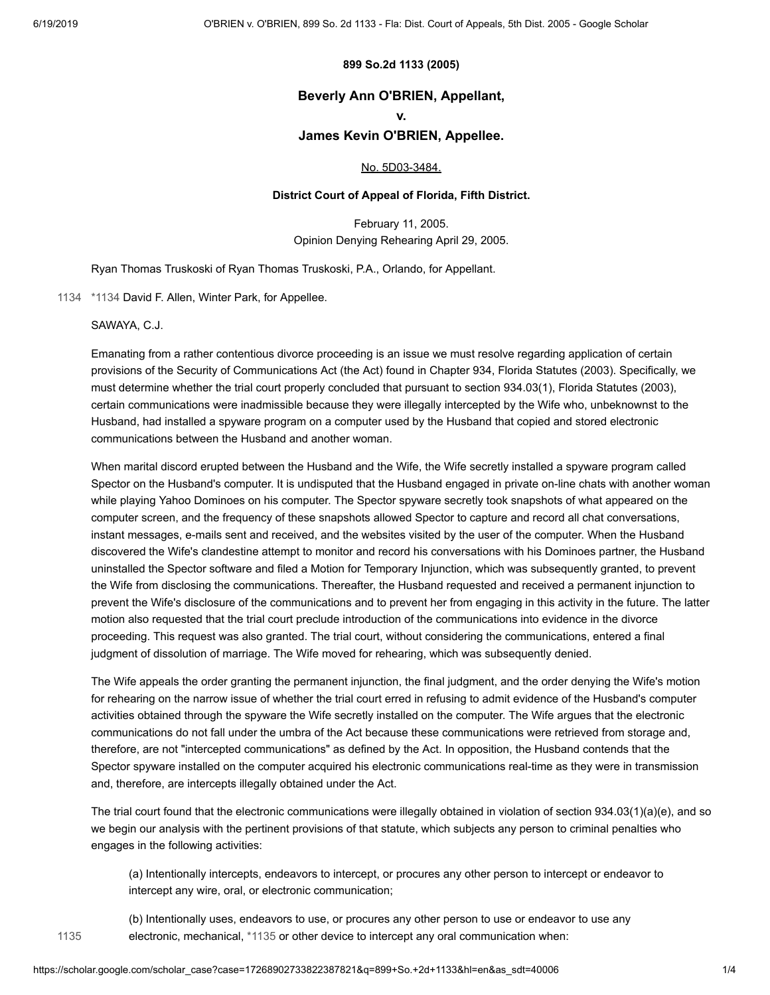#### **899 So.2d 1133 (2005)**

## **Beverly Ann O'BRIEN, Appellant,**

**v.**

### **James Kevin O'BRIEN, Appellee.**

## [No. 5D03-3484.](https://scholar.google.com/scholar?scidkt=7150350489107469909&as_sdt=2&hl=en)

#### **District Court of Appeal of Florida, Fifth District.**

February 11, 2005. Opinion Denying Rehearing April 29, 2005.

<span id="page-0-0"></span>Ryan Thomas Truskoski of Ryan Thomas Truskoski, P.A., Orlando, for Appellant.

[1134](#page-0-0) [\\*1134](#page-0-0) David F. Allen, Winter Park, for Appellee.

## SAWAYA, C.J.

Emanating from a rather contentious divorce proceeding is an issue we must resolve regarding application of certain provisions of the Security of Communications Act (the Act) found in Chapter 934, Florida Statutes (2003). Specifically, we must determine whether the trial court properly concluded that pursuant to section 934.03(1), Florida Statutes (2003), certain communications were inadmissible because they were illegally intercepted by the Wife who, unbeknownst to the Husband, had installed a spyware program on a computer used by the Husband that copied and stored electronic communications between the Husband and another woman.

When marital discord erupted between the Husband and the Wife, the Wife secretly installed a spyware program called Spector on the Husband's computer. It is undisputed that the Husband engaged in private on-line chats with another woman while playing Yahoo Dominoes on his computer. The Spector spyware secretly took snapshots of what appeared on the computer screen, and the frequency of these snapshots allowed Spector to capture and record all chat conversations, instant messages, e-mails sent and received, and the websites visited by the user of the computer. When the Husband discovered the Wife's clandestine attempt to monitor and record his conversations with his Dominoes partner, the Husband uninstalled the Spector software and filed a Motion for Temporary Injunction, which was subsequently granted, to prevent the Wife from disclosing the communications. Thereafter, the Husband requested and received a permanent injunction to prevent the Wife's disclosure of the communications and to prevent her from engaging in this activity in the future. The latter motion also requested that the trial court preclude introduction of the communications into evidence in the divorce proceeding. This request was also granted. The trial court, without considering the communications, entered a final judgment of dissolution of marriage. The Wife moved for rehearing, which was subsequently denied.

The Wife appeals the order granting the permanent injunction, the final judgment, and the order denying the Wife's motion for rehearing on the narrow issue of whether the trial court erred in refusing to admit evidence of the Husband's computer activities obtained through the spyware the Wife secretly installed on the computer. The Wife argues that the electronic communications do not fall under the umbra of the Act because these communications were retrieved from storage and, therefore, are not "intercepted communications" as defined by the Act. In opposition, the Husband contends that the Spector spyware installed on the computer acquired his electronic communications real-time as they were in transmission and, therefore, are intercepts illegally obtained under the Act.

The trial court found that the electronic communications were illegally obtained in violation of section 934.03(1)(a)(e), and so we begin our analysis with the pertinent provisions of that statute, which subjects any person to criminal penalties who engages in the following activities:

<span id="page-0-1"></span>(a) Intentionally intercepts, endeavors to intercept, or procures any other person to intercept or endeavor to intercept any wire, oral, or electronic communication;

(b) Intentionally uses, endeavors to use, or procures any other person to use or endeavor to use any [1135](#page-0-1) electronic, mechanical, [\\*1135](#page-0-1) or other device to intercept any oral communication when: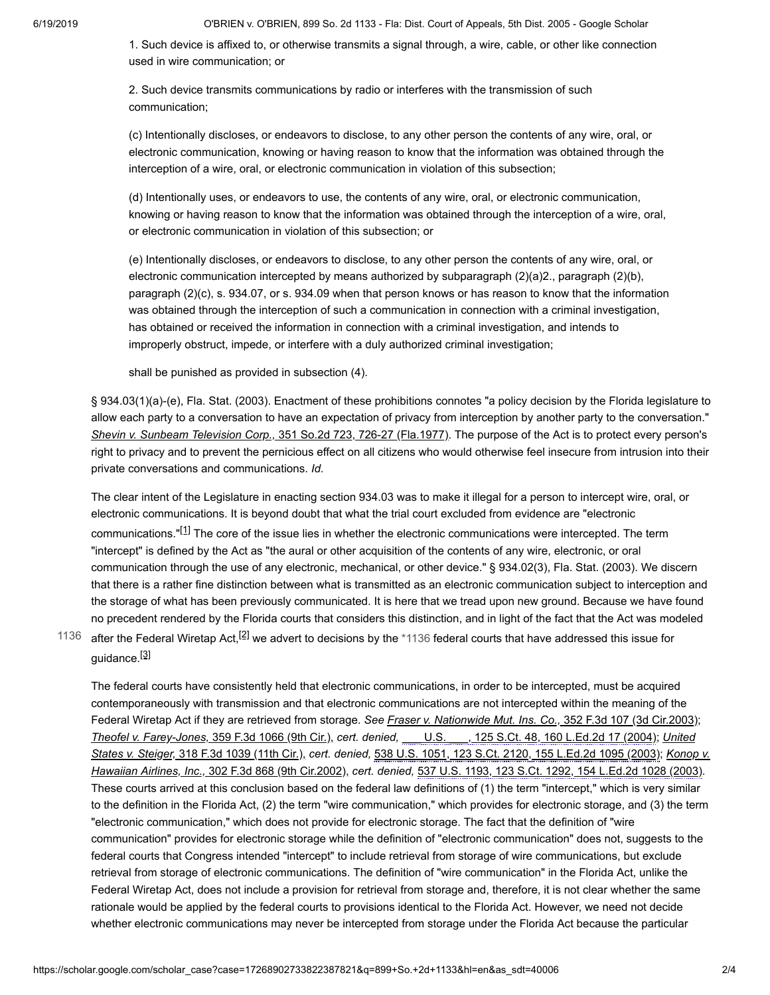1. Such device is affixed to, or otherwise transmits a signal through, a wire, cable, or other like connection used in wire communication; or

2. Such device transmits communications by radio or interferes with the transmission of such communication;

(c) Intentionally discloses, or endeavors to disclose, to any other person the contents of any wire, oral, or electronic communication, knowing or having reason to know that the information was obtained through the interception of a wire, oral, or electronic communication in violation of this subsection;

(d) Intentionally uses, or endeavors to use, the contents of any wire, oral, or electronic communication, knowing or having reason to know that the information was obtained through the interception of a wire, oral, or electronic communication in violation of this subsection; or

(e) Intentionally discloses, or endeavors to disclose, to any other person the contents of any wire, oral, or electronic communication intercepted by means authorized by subparagraph (2)(a)2., paragraph (2)(b), paragraph (2)(c), s. 934.07, or s. 934.09 when that person knows or has reason to know that the information was obtained through the interception of such a communication in connection with a criminal investigation, has obtained or received the information in connection with a criminal investigation, and intends to improperly obstruct, impede, or interfere with a duly authorized criminal investigation;

shall be punished as provided in subsection (4).

§ 934.03(1)(a)-(e), Fla. Stat. (2003). Enactment of these prohibitions connotes "a policy decision by the Florida legislature to allow each party to a conversation to have an expectation of privacy from interception by another party to the conversation." *[Shevin v. Sunbeam Television Corp.,](https://scholar.google.com/scholar_case?case=3377720699785391478&q=899+So.+2d+1133&hl=en&as_sdt=40006)* 351 So.2d 723, 726-27 (Fla.1977). The purpose of the Act is to protect every person's right to privacy and to prevent the pernicious effect on all citizens who would otherwise feel insecure from intrusion into their private conversations and communications. *Id.*

<span id="page-1-1"></span>The clear intent of the Legislature in enacting section 934.03 was to make it illegal for a person to intercept wire, oral, or electronic communications. It is beyond doubt that what the trial court excluded from evidence are "electronic communications."<sup>[\[1\]](#page-3-0)</sup> The core of the issue lies in whether the electronic communications were intercepted. The term "intercept" is defined by the Act as "the aural or other acquisition of the contents of any wire, electronic, or oral communication through the use of any electronic, mechanical, or other device." § 934.02(3), Fla. Stat. (2003). We discern that there is a rather fine distinction between what is transmitted as an electronic communication subject to interception and the storage of what has been previously communicated. It is here that we tread upon new ground. Because we have found no precedent rendered by the Florida courts that considers this distinction, and in light of the fact that the Act was modeled

after the Federal Wiretap Act,<sup>[\[2\]](#page-3-1)</sup> we advert to decisions by the [\\*1136](#page-1-0) federal courts that have addressed this issue for guidance.<sup>[\[3\]](#page-3-2)</sup> [1136](#page-1-0)

<span id="page-1-3"></span><span id="page-1-2"></span><span id="page-1-0"></span>The federal courts have consistently held that electronic communications, in order to be intercepted, must be acquired contemporaneously with transmission and that electronic communications are not intercepted within the meaning of the Federal Wiretap Act if they are retrieved from storage. *See [Fraser v. Nationwide Mut. Ins. Co.,](https://scholar.google.com/scholar_case?case=15043027319425801795&q=899+So.+2d+1133&hl=en&as_sdt=40006)* 352 F.3d 107 (3d Cir.2003); *Theofel v. Farey-Jones,* [359 F.3d 1066 \(9th Cir.\),](https://scholar.google.com/scholar_case?case=15340270173597434953&q=899+So.+2d+1133&hl=en&as_sdt=40006) *cert. denied,* [\\_\\_\\_ U.S. \\_\\_\\_, 125 S.Ct. 48, 160 L.Ed.2d 17 \(2004\)](https://scholar.google.com/scholar_case?about=5821895801157270554&q=899+So.+2d+1133&hl=en&as_sdt=40006); *United States v. Steiger,* 318 F.3d 1039 (11th Cir.), *cert. denied,* [538 U.S. 1051, 123 S.Ct. 2120, 155 L.Ed.2d 1095 \(2003\);](https://scholar.google.com/scholar_case?case=5611821785646747519&q=899+So.+2d+1133&hl=en&as_sdt=40006) *Konop v. Hawaiian Airlines, Inc.,* 302 F.3d 868 (9th Cir.2002), *cert. denied,* [537 U.S. 1193, 123 S.Ct. 1292, 154 L.Ed.2d 1028 \(2003\)](https://scholar.google.com/scholar_case?about=11187939956651712620&q=899+So.+2d+1133&hl=en&as_sdt=40006). These courts arrived at this conclusion based on the federal law definitions of (1) the term "intercept," which is very similar to the definition in the Florida Act, (2) the term "wire communication," which provides for electronic storage, and (3) the term "electronic communication," which does not provide for electronic storage. The fact that the definition of "wire communication" provides for electronic storage while the definition of "electronic communication" does not, suggests to the federal courts that Congress intended "intercept" to include retrieval from storage of wire communications, but exclude retrieval from storage of electronic communications. The definition of "wire communication" in the Florida Act, unlike the Federal Wiretap Act, does not include a provision for retrieval from storage and, therefore, it is not clear whether the same rationale would be applied by the federal courts to provisions identical to the Florida Act. However, we need not decide whether electronic communications may never be intercepted from storage under the Florida Act because the particular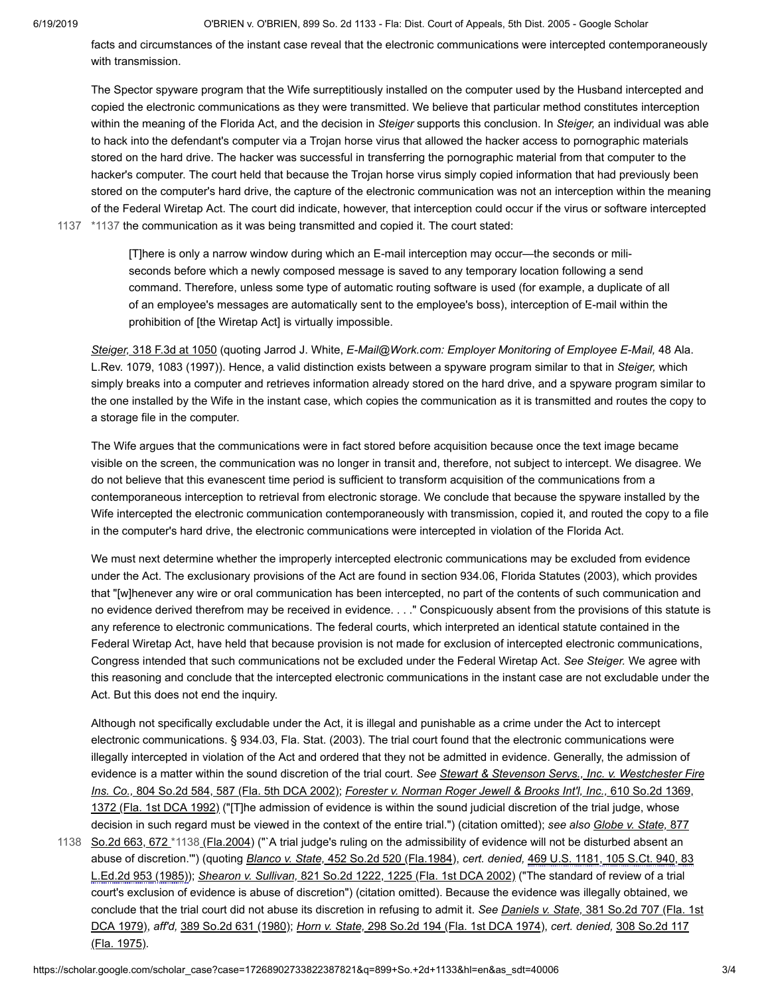facts and circumstances of the instant case reveal that the electronic communications were intercepted contemporaneously with transmission.

The Spector spyware program that the Wife surreptitiously installed on the computer used by the Husband intercepted and copied the electronic communications as they were transmitted. We believe that particular method constitutes interception within the meaning of the Florida Act, and the decision in *Steiger* supports this conclusion. In *Steiger,* an individual was able to hack into the defendant's computer via a Trojan horse virus that allowed the hacker access to pornographic materials stored on the hard drive. The hacker was successful in transferring the pornographic material from that computer to the hacker's computer. The court held that because the Trojan horse virus simply copied information that had previously been stored on the computer's hard drive, the capture of the electronic communication was not an interception within the meaning of the Federal Wiretap Act. The court did indicate, however, that interception could occur if the virus or software intercepted

<span id="page-2-0"></span>[1137](#page-2-0) [\\*1137](#page-2-0) the communication as it was being transmitted and copied it. The court stated:

[T]here is only a narrow window during which an E-mail interception may occur—the seconds or miliseconds before which a newly composed message is saved to any temporary location following a send command. Therefore, unless some type of automatic routing software is used (for example, a duplicate of all of an employee's messages are automatically sent to the employee's boss), interception of E-mail within the prohibition of [the Wiretap Act] is virtually impossible.

*Steiger,* [318 F.3d at 1050](https://scholar.google.com/scholar_case?case=5611821785646747519&q=899+So.+2d+1133&hl=en&as_sdt=40006) (quoting Jarrod J. White, *E-Mail@Work.com: Employer Monitoring of Employee E-Mail,* 48 Ala. L.Rev. 1079, 1083 (1997)). Hence, a valid distinction exists between a spyware program similar to that in *Steiger,* which simply breaks into a computer and retrieves information already stored on the hard drive, and a spyware program similar to the one installed by the Wife in the instant case, which copies the communication as it is transmitted and routes the copy to a storage file in the computer.

The Wife argues that the communications were in fact stored before acquisition because once the text image became visible on the screen, the communication was no longer in transit and, therefore, not subject to intercept. We disagree. We do not believe that this evanescent time period is sufficient to transform acquisition of the communications from a contemporaneous interception to retrieval from electronic storage. We conclude that because the spyware installed by the Wife intercepted the electronic communication contemporaneously with transmission, copied it, and routed the copy to a file in the computer's hard drive, the electronic communications were intercepted in violation of the Florida Act.

We must next determine whether the improperly intercepted electronic communications may be excluded from evidence under the Act. The exclusionary provisions of the Act are found in section 934.06, Florida Statutes (2003), which provides that "[w]henever any wire or oral communication has been intercepted, no part of the contents of such communication and no evidence derived therefrom may be received in evidence. . . ." Conspicuously absent from the provisions of this statute is any reference to electronic communications. The federal courts, which interpreted an identical statute contained in the Federal Wiretap Act, have held that because provision is not made for exclusion of intercepted electronic communications, Congress intended that such communications not be excluded under the Federal Wiretap Act. *See Steiger.* We agree with this reasoning and conclude that the intercepted electronic communications in the instant case are not excludable under the Act. But this does not end the inquiry.

Although not specifically excludable under the Act, it is illegal and punishable as a crime under the Act to intercept electronic communications. § 934.03, Fla. Stat. (2003). The trial court found that the electronic communications were illegally intercepted in violation of the Act and ordered that they not be admitted in evidence. Generally, the admission of [evidence is a matter within the sound discretion of the trial court.](https://scholar.google.com/scholar_case?case=17358184313480767256&q=899+So.+2d+1133&hl=en&as_sdt=40006) *See Stewart & Stevenson Servs., Inc. v. Westchester Fire Ins. Co.,* 804 So.2d 584, 587 (Fla. 5th DCA 2002); *Forester v. Norman Roger Jewell & Brooks Int'l, Inc.,* 610 So.2d 1369, [1372 \(Fla. 1st DCA 1992\) \("\[T\]he admission of evidence is within the sound judicial discretion of the trial judge, whose](https://scholar.google.com/scholar_case?case=7848866511413022760&q=899+So.+2d+1133&hl=en&as_sdt=40006) decision in such regard must be viewed in the context of the entire trial.") (citation omitted); *see also Globe v. State,* 877

<span id="page-2-1"></span>1138 [So.2d 663, 672 \\*1138 \(Fla.2004\) \("`A trial judge's ruling on the admissibility of evidence will not be disturbed absent an](https://scholar.google.com/scholar_case?case=15214409591229783580&q=899+So.+2d+1133&hl=en&as_sdt=40006) abuse of discretion.'") (quoting *Blanco v. State,* [452 So.2d 520 \(Fla.1984\),](https://scholar.google.com/scholar_case?case=14446842858912744200&q=899+So.+2d+1133&hl=en&as_sdt=40006) *cert. denied,* 469 U.S. 1181, 105 S.Ct. 940, 83 L.Ed.2d 953 (1985)); *Shearon v. Sullivan,* [821 So.2d 1222, 1225 \(Fla. 1st DCA 2002\) \("The standard of review of a trial](https://scholar.google.com/scholar_case?about=5985356242614030367&q=899+So.+2d+1133&hl=en&as_sdt=40006) court's exclusion of evidence is abuse of discretion") (citation omitted). Because the evidence was illegally obtained, we [conclude that the trial court did not abuse its discretion in refusing to admit it.](https://scholar.google.com/scholar_case?case=2098790202119027702&q=899+So.+2d+1133&hl=en&as_sdt=40006) *See Daniels v. State,* 381 So.2d 707 (Fla. 1st DCA 1979), *aff'd,* [389 So.2d 631 \(1980\);](https://scholar.google.com/scholar_case?case=11539391244970611869&q=899+So.+2d+1133&hl=en&as_sdt=40006) *Horn v. State,* [298 So.2d 194 \(Fla. 1st DCA 1974\),](https://scholar.google.com/scholar_case?case=10780286888839604962&q=899+So.+2d+1133&hl=en&as_sdt=40006) *cert. denied,* 308 So.2d 117 (Fla. 1975).